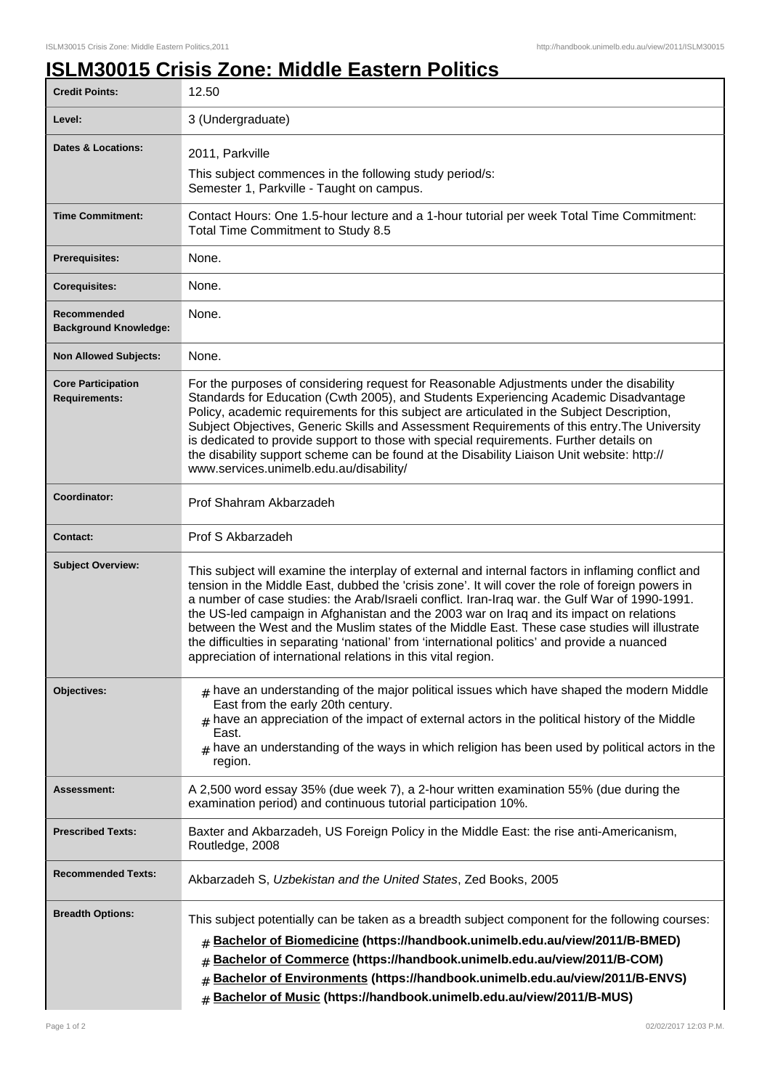## **ISLM30015 Crisis Zone: Middle Eastern Politics**

| <b>Credit Points:</b>                             | 12.50                                                                                                                                                                                                                                                                                                                                                                                                                                                                                                                                                                                                                                                                   |
|---------------------------------------------------|-------------------------------------------------------------------------------------------------------------------------------------------------------------------------------------------------------------------------------------------------------------------------------------------------------------------------------------------------------------------------------------------------------------------------------------------------------------------------------------------------------------------------------------------------------------------------------------------------------------------------------------------------------------------------|
| Level:                                            | 3 (Undergraduate)                                                                                                                                                                                                                                                                                                                                                                                                                                                                                                                                                                                                                                                       |
| <b>Dates &amp; Locations:</b>                     | 2011, Parkville                                                                                                                                                                                                                                                                                                                                                                                                                                                                                                                                                                                                                                                         |
|                                                   | This subject commences in the following study period/s:<br>Semester 1, Parkville - Taught on campus.                                                                                                                                                                                                                                                                                                                                                                                                                                                                                                                                                                    |
| <b>Time Commitment:</b>                           | Contact Hours: One 1.5-hour lecture and a 1-hour tutorial per week Total Time Commitment:<br>Total Time Commitment to Study 8.5                                                                                                                                                                                                                                                                                                                                                                                                                                                                                                                                         |
| Prerequisites:                                    | None.                                                                                                                                                                                                                                                                                                                                                                                                                                                                                                                                                                                                                                                                   |
| <b>Corequisites:</b>                              | None.                                                                                                                                                                                                                                                                                                                                                                                                                                                                                                                                                                                                                                                                   |
| Recommended<br><b>Background Knowledge:</b>       | None.                                                                                                                                                                                                                                                                                                                                                                                                                                                                                                                                                                                                                                                                   |
| <b>Non Allowed Subjects:</b>                      | None.                                                                                                                                                                                                                                                                                                                                                                                                                                                                                                                                                                                                                                                                   |
| <b>Core Participation</b><br><b>Requirements:</b> | For the purposes of considering request for Reasonable Adjustments under the disability<br>Standards for Education (Cwth 2005), and Students Experiencing Academic Disadvantage<br>Policy, academic requirements for this subject are articulated in the Subject Description,<br>Subject Objectives, Generic Skills and Assessment Requirements of this entry. The University<br>is dedicated to provide support to those with special requirements. Further details on<br>the disability support scheme can be found at the Disability Liaison Unit website: http://<br>www.services.unimelb.edu.au/disability/                                                        |
| Coordinator:                                      | Prof Shahram Akbarzadeh                                                                                                                                                                                                                                                                                                                                                                                                                                                                                                                                                                                                                                                 |
| <b>Contact:</b>                                   | Prof S Akbarzadeh                                                                                                                                                                                                                                                                                                                                                                                                                                                                                                                                                                                                                                                       |
| <b>Subject Overview:</b>                          | This subject will examine the interplay of external and internal factors in inflaming conflict and<br>tension in the Middle East, dubbed the 'crisis zone'. It will cover the role of foreign powers in<br>a number of case studies: the Arab/Israeli conflict. Iran-Iraq war. the Gulf War of 1990-1991.<br>the US-led campaign in Afghanistan and the 2003 war on Iraq and its impact on relations<br>between the West and the Muslim states of the Middle East. These case studies will illustrate<br>the difficulties in separating 'national' from 'international politics' and provide a nuanced<br>appreciation of international relations in this vital region. |
| Objectives:                                       | $#$ have an understanding of the major political issues which have shaped the modern Middle<br>East from the early 20th century.<br>have an appreciation of the impact of external actors in the political history of the Middle<br>East.<br>have an understanding of the ways in which religion has been used by political actors in the<br>region.                                                                                                                                                                                                                                                                                                                    |
| Assessment:                                       | A 2,500 word essay 35% (due week 7), a 2-hour written examination 55% (due during the<br>examination period) and continuous tutorial participation 10%.                                                                                                                                                                                                                                                                                                                                                                                                                                                                                                                 |
| <b>Prescribed Texts:</b>                          | Baxter and Akbarzadeh, US Foreign Policy in the Middle East: the rise anti-Americanism,<br>Routledge, 2008                                                                                                                                                                                                                                                                                                                                                                                                                                                                                                                                                              |
| <b>Recommended Texts:</b>                         | Akbarzadeh S, Uzbekistan and the United States, Zed Books, 2005                                                                                                                                                                                                                                                                                                                                                                                                                                                                                                                                                                                                         |
| <b>Breadth Options:</b>                           | This subject potentially can be taken as a breadth subject component for the following courses:<br>Bachelor of Biomedicine (https://handbook.unimelb.edu.au/view/2011/B-BMED)<br>#<br>Bachelor of Commerce (https://handbook.unimelb.edu.au/view/2011/B-COM)<br>#<br>Bachelor of Environments (https://handbook.unimelb.edu.au/view/2011/B-ENVS)<br>#<br>Bachelor of Music (https://handbook.unimelb.edu.au/view/2011/B-MUS)<br>#                                                                                                                                                                                                                                       |